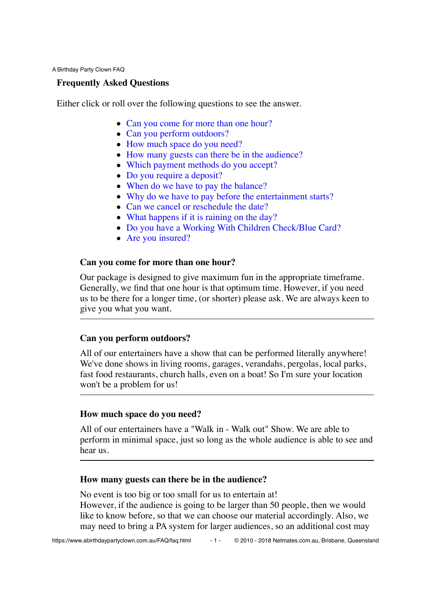A Birthday Party Clown FAQ

### **Frequently Asked Questions**

Either click or roll over the following questions to see the answer.

- Can you come for more than one hour?
- Can you perform outdoors?
- How much space do you need?
- How many guests can there be in the audience?
- Which payment methods do you accept?
- Do you require a deposit?
- When do we have to pay the balance?
- Why do we have to pay before the entertainment starts?
- Can we cancel or reschedule the date?
- What happens if it is raining on the day?
- Do you have a Working With Children Check/Blue Card?
- Are you insured?

### **Can you come for more than one hour?**

Our package is designed to give maximum fun in the appropriate timeframe. Generally, we find that one hour is that optimum time. However, if you need us to be there for a longer time, (or shorter) please ask. We are always keen to give you what you want.

### **Can you perform outdoors?**

All of our entertainers have a show that can be performed literally anywhere! We've done shows in living rooms, garages, verandahs, pergolas, local parks, fast food restaurants, church halls, even on a boat! So I'm sure your location won't be a problem for us!

### **How much space do you need?**

All of our entertainers have a "Walk in - Walk out" Show. We are able to perform in minimal space, just so long as the whole audience is able to see and hear us.

### **How many guests can there be in the audience?**

No event is too big or too small for us to entertain at! However, if the audience is going to be larger than 50 people, then we would like to know before, so that we can choose our material accordingly. Also, we may need to bring a PA system for larger audiences, so an additional cost may

- 1 - © 2010 - 2018 Netmates.com.au, Brisbane, Queensland https://www.abirthdaypartyclown.com.au/FAQ/faq.html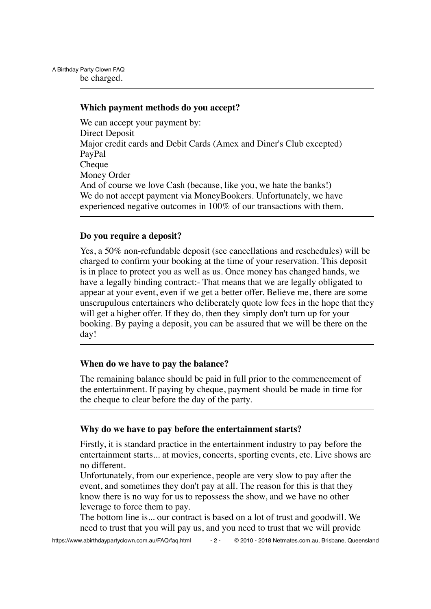### **Which payment methods do you accept?**

We can accept your payment by: Direct Deposit Major credit cards and Debit Cards (Amex and Diner's Club excepted) PayPal Cheque Money Order And of course we love Cash (because, like you, we hate the banks!) We do not accept payment via MoneyBookers. Unfortunately, we have experienced negative outcomes in 100% of our transactions with them.

### **Do you require a deposit?**

Yes, a 50% non-refundable deposit (see cancellations and reschedules) will be charged to confirm your booking at the time of your reservation. This deposit is in place to protect you as well as us. Once money has changed hands, we have a legally binding contract:- That means that we are legally obligated to appear at your event, even if we get a better offer. Believe me, there are some unscrupulous entertainers who deliberately quote low fees in the hope that they will get a higher offer. If they do, then they simply don't turn up for your booking. By paying a deposit, you can be assured that we will be there on the day!

### **When do we have to pay the balance?**

The remaining balance should be paid in full prior to the commencement of the entertainment. If paying by cheque, payment should be made in time for the cheque to clear before the day of the party.

#### **Why do we have to pay before the entertainment starts?**

Firstly, it is standard practice in the entertainment industry to pay before the entertainment starts... at movies, concerts, sporting events, etc. Live shows are no different.

Unfortunately, from our experience, people are very slow to pay after the event, and sometimes they don't pay at all. The reason for this is that they know there is no way for us to repossess the show, and we have no other leverage to force them to pay.

The bottom line is... our contract is based on a lot of trust and goodwill. We need to trust that you will pay us, and you need to trust that we will provide

https://www.abirthdaypartyclown.com.au/FAQ/faq.html - 2 - © 2010 - 2018 Netmates.com.au, Brisbane, Queensland